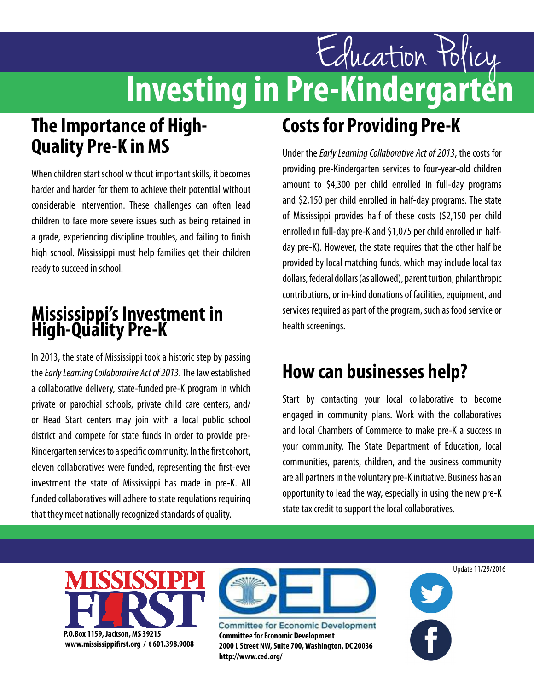# Education Policy<br>**Investing in Pre-Kindergarten**

#### **The Importance of High-Quality Pre-K in MS**

When children start school without important skills, it becomes harder and harder for them to achieve their potential without considerable intervention. These challenges can often lead children to face more severe issues such as being retained in a grade, experiencing discipline troubles, and failing to finish high school. Mississippi must help families get their children ready to succeed in school.

#### **Mississippi's Investment in High-Quality Pre-K**

In 2013, the state of Mississippi took a historic step by passing the *Early Learning Collaborative Act of 2013*. The law established a collaborative delivery, state-funded pre-K program in which private or parochial schools, private child care centers, and/ or Head Start centers may join with a local public school district and compete for state funds in order to provide pre-Kindergarten services to a specific community. In the first cohort, eleven collaboratives were funded, representing the first-ever investment the state of Mississippi has made in pre-K. All funded collaboratives will adhere to state regulations requiring that they meet nationally recognized standards of quality.

## **Costs for Providing Pre-K**

Under the *Early Learning Collaborative Act of 2013*, the costs for providing pre-Kindergarten services to four-year-old children amount to \$4,300 per child enrolled in full-day programs and \$2,150 per child enrolled in half-day programs. The state of Mississippi provides half of these costs (\$2,150 per child enrolled in full-day pre-K and \$1,075 per child enrolled in halfday pre-K). However, the state requires that the other half be provided by local matching funds, which may include local tax dollars, federal dollars (as allowed), parent tuition, philanthropic contributions, or in-kind donations of facilities, equipment, and services required as part of the program, such as food service or health screenings.

#### **How can businesses help?**

Start by contacting your local collaborative to become engaged in community plans. Work with the collaboratives and local Chambers of Commerce to make pre-K a success in your community. The State Department of Education, local communities, parents, children, and the business community are all partners in the voluntary pre-K initiative. Business has an opportunity to lead the way, especially in using the new pre-K state tax credit to support the local collaboratives.



**www.mississippifirst.org / t 601.398.9008**



**Committee for Economic Development 2000 L Street NW, Suite 700, Washington, DC 20036 http://www.ced.org/**